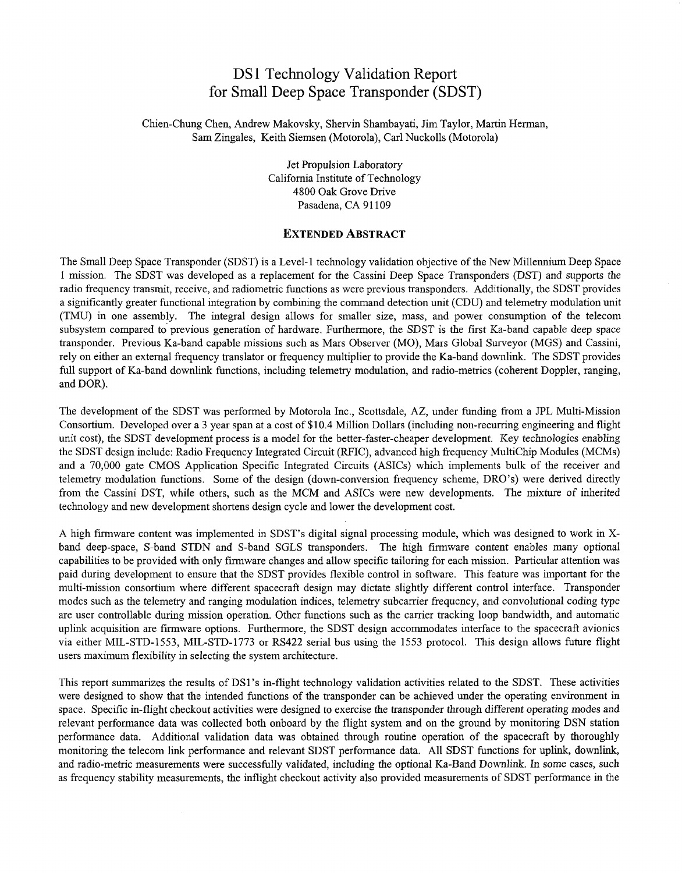## DS1 Technology Validation Report for Small Deep Space Transponder (SDST)

Chien-Chung Chen, Andrew Makovsky, Shervin Shambayati, Jim Taylor, Martin Herman, Sam Zingales, Keith Siemsen (Motorola), Carl Nuckolls (Motorola)

> Jet Propulsion Laboratory California Institute of Technology 4800 Oak Grove Drive Pasadena, CA 91109

## **EXTENDED ABSTRACT**

The Small Deep Space Transponder (SDST) is a Level-1 technology validation objective of the New Millennium Deep Space 1 mission. The SDST was developed as a replacement for the Cassini Deep Space Transponders (DST) and supports the radio frequency transmit, receive, and radiometric functions as were previous transponders. Additionally, the SDST provides a significantly greater functional integration by combining the command detection unit (CDU) and telemetry modulation unit (TMU) in one assembly. The integral design allows for smaller size, mass, and power consumption of the telecom subsystem compared to' previous generation of hardware. Furthermore, the SDST is the first Ka-band capable deep space transponder. Previous Ka-band capable missions such as Mars Observer (MO), Mars Global Surveyor (MGS) and Cassini, rely on either an external frequency translator or frequency multiplier to provide the Ka-band downlmk. The SDST provides full support of Ka-band downlink functions, including telemetry modulation, and radio-metrics (coherent Doppler, ranging, and DOR).

The development of the SDST was performed by Motorola Inc., Scottsdale, AZ, under funding from a JPL Multi-Mission Consortium. Developed over a 3 year span at a cost of \$10.4 Million Dollars (including non-recurring engineering and flight unit cost), the SDST development process is a model for the better-faster-cheaper development. Key technologies enabling the SDST design include: Radio Frequency Integrated Circuit (RFIC), advanced high frequency MultiChip Modules (MCMs) and a 70,000 gate CMOS Application Specific Integrated Circuits (ASICs) which implements bulk of the receiver and telemetry modulation functions. Some of the design (down-conversion frequency scheme, DRO's) were derived directly from the Cassini DST, while others, such as the MCM and ASICs were new developments. The mixture of inherited technology and new development shortens design cycle and lower the development cost.

A high firmware content was implemented in SDST's digital signal processing module, which was designed to work in Xband deep-space, S-band STDN and S-band SGLS transponders. The high firmware content enables many optional capabilities to be provided with only firmware changes and allow specific tailoring for each mission. Particular attention was paid during development to ensure that the SDST provides flexible control in software. This feature was important for the multi-mission consortium where different spacecraft design may dictate slightly different control interface. Transponder modes such as the telemetry and ranging modulation indices, telemetry subcarrier frequency, and convolutional coding type are user controllable during mission operation. Other functions such as the carrier tracking loop bandwidth, and automatic uplink acquisition are firmware options. Furthermore, the SDST design accommodates interface to the spacecraft avionics via either MIL-STD-1553, MIL-STD-1773 or RS422 serial bus using the 1553 protocol. This design allows future flight users maximum flexibility in selecting the system architecture.

This report summarizes the results of DS1 's in-flight technology validation activities related to the SDST. These activities were designed to show that the intended functions of the transponder can be achieved under the operating environment in space. Specific in-flight checkout activities were designed to exercise the transponder through different operating modes and relevant performance data was collected both onboard by the flight system and on the ground by monitoring DSN station performance data. Additional validation data was obtained through routine operation of the spacecraft by thoroughly monitoring the telecom link performance and relevant SDST performance data. All SDST functions for uplink, downlink, and radio-metric measurements were successfully validated, including the optional Ka-Band Downlink. In some cases, such as frequency stability measurements, the inflight checkout activity also provided measurements of SDST performance in the